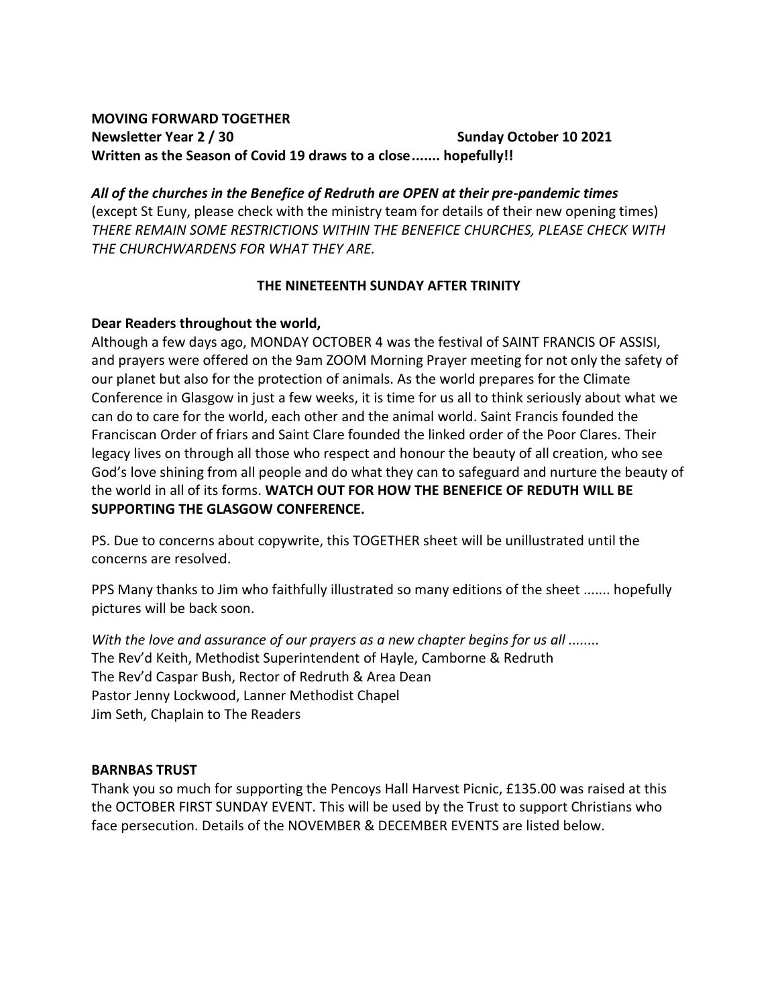### **MOVING FORWARD TOGETHER Newsletter Year 2** / 30 **Sunday October 10 2021 Written as the Season of Covid 19 draws to a close....... hopefully!!**

*All of the churches in the Benefice of Redruth are OPEN at their pre-pandemic times*  (except St Euny, please check with the ministry team for details of their new opening times) *THERE REMAIN SOME RESTRICTIONS WITHIN THE BENEFICE CHURCHES, PLEASE CHECK WITH THE CHURCHWARDENS FOR WHAT THEY ARE.*

# **THE NINETEENTH SUNDAY AFTER TRINITY**

### **Dear Readers throughout the world,**

Although a few days ago, MONDAY OCTOBER 4 was the festival of SAINT FRANCIS OF ASSISI, and prayers were offered on the 9am ZOOM Morning Prayer meeting for not only the safety of our planet but also for the protection of animals. As the world prepares for the Climate Conference in Glasgow in just a few weeks, it is time for us all to think seriously about what we can do to care for the world, each other and the animal world. Saint Francis founded the Franciscan Order of friars and Saint Clare founded the linked order of the Poor Clares. Their legacy lives on through all those who respect and honour the beauty of all creation, who see God's love shining from all people and do what they can to safeguard and nurture the beauty of the world in all of its forms. **WATCH OUT FOR HOW THE BENEFICE OF REDUTH WILL BE SUPPORTING THE GLASGOW CONFERENCE.**

PS. Due to concerns about copywrite, this TOGETHER sheet will be unillustrated until the concerns are resolved.

PPS Many thanks to Jim who faithfully illustrated so many editions of the sheet ....... hopefully pictures will be back soon.

*With the love and assurance of our prayers as a new chapter begins for us all ........* The Rev'd Keith, Methodist Superintendent of Hayle, Camborne & Redruth The Rev'd Caspar Bush, Rector of Redruth & Area Dean Pastor Jenny Lockwood, Lanner Methodist Chapel Jim Seth, Chaplain to The Readers

### **BARNBAS TRUST**

Thank you so much for supporting the Pencoys Hall Harvest Picnic, £135.00 was raised at this the OCTOBER FIRST SUNDAY EVENT. This will be used by the Trust to support Christians who face persecution. Details of the NOVEMBER & DECEMBER EVENTS are listed below.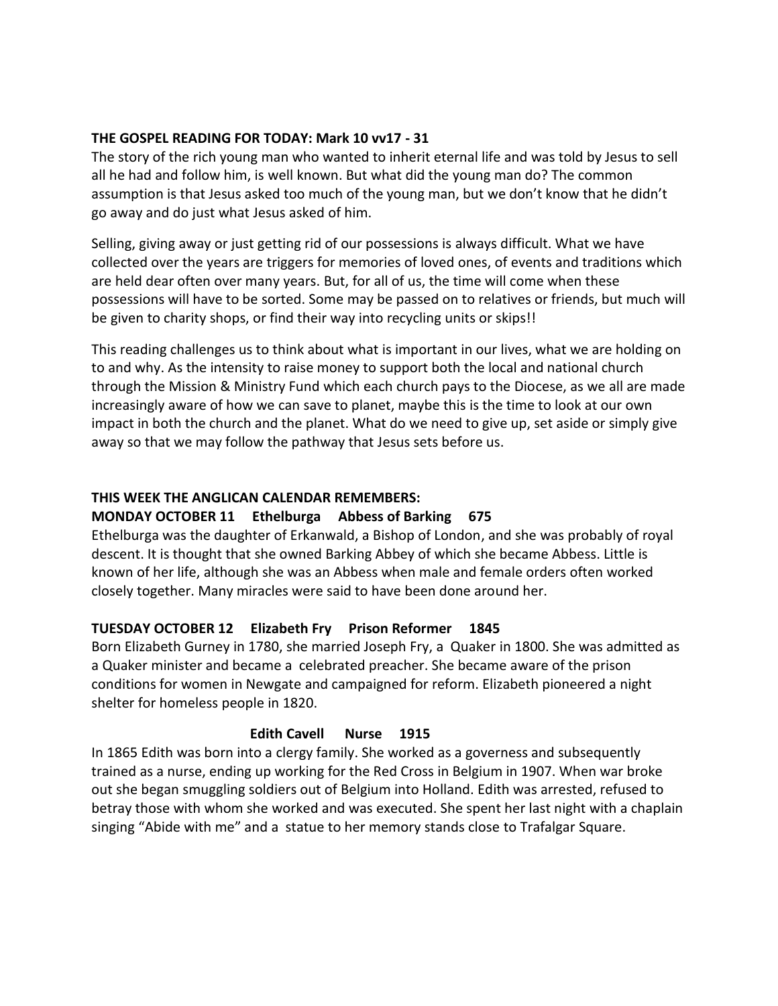### **THE GOSPEL READING FOR TODAY: Mark 10 vv17 - 31**

The story of the rich young man who wanted to inherit eternal life and was told by Jesus to sell all he had and follow him, is well known. But what did the young man do? The common assumption is that Jesus asked too much of the young man, but we don't know that he didn't go away and do just what Jesus asked of him.

Selling, giving away or just getting rid of our possessions is always difficult. What we have collected over the years are triggers for memories of loved ones, of events and traditions which are held dear often over many years. But, for all of us, the time will come when these possessions will have to be sorted. Some may be passed on to relatives or friends, but much will be given to charity shops, or find their way into recycling units or skips!!

This reading challenges us to think about what is important in our lives, what we are holding on to and why. As the intensity to raise money to support both the local and national church through the Mission & Ministry Fund which each church pays to the Diocese, as we all are made increasingly aware of how we can save to planet, maybe this is the time to look at our own impact in both the church and the planet. What do we need to give up, set aside or simply give away so that we may follow the pathway that Jesus sets before us.

# **THIS WEEK THE ANGLICAN CALENDAR REMEMBERS:**

# **MONDAY OCTOBER 11 Ethelburga Abbess of Barking 675**

Ethelburga was the daughter of Erkanwald, a Bishop of London, and she was probably of royal descent. It is thought that she owned Barking Abbey of which she became Abbess. Little is known of her life, although she was an Abbess when male and female orders often worked closely together. Many miracles were said to have been done around her.

# **TUESDAY OCTOBER 12 Elizabeth Fry Prison Reformer 1845**

Born Elizabeth Gurney in 1780, she married Joseph Fry, a Quaker in 1800. She was admitted as a Quaker minister and became a celebrated preacher. She became aware of the prison conditions for women in Newgate and campaigned for reform. Elizabeth pioneered a night shelter for homeless people in 1820.

# **Edith Cavell Nurse 1915**

In 1865 Edith was born into a clergy family. She worked as a governess and subsequently trained as a nurse, ending up working for the Red Cross in Belgium in 1907. When war broke out she began smuggling soldiers out of Belgium into Holland. Edith was arrested, refused to betray those with whom she worked and was executed. She spent her last night with a chaplain singing "Abide with me" and a statue to her memory stands close to Trafalgar Square.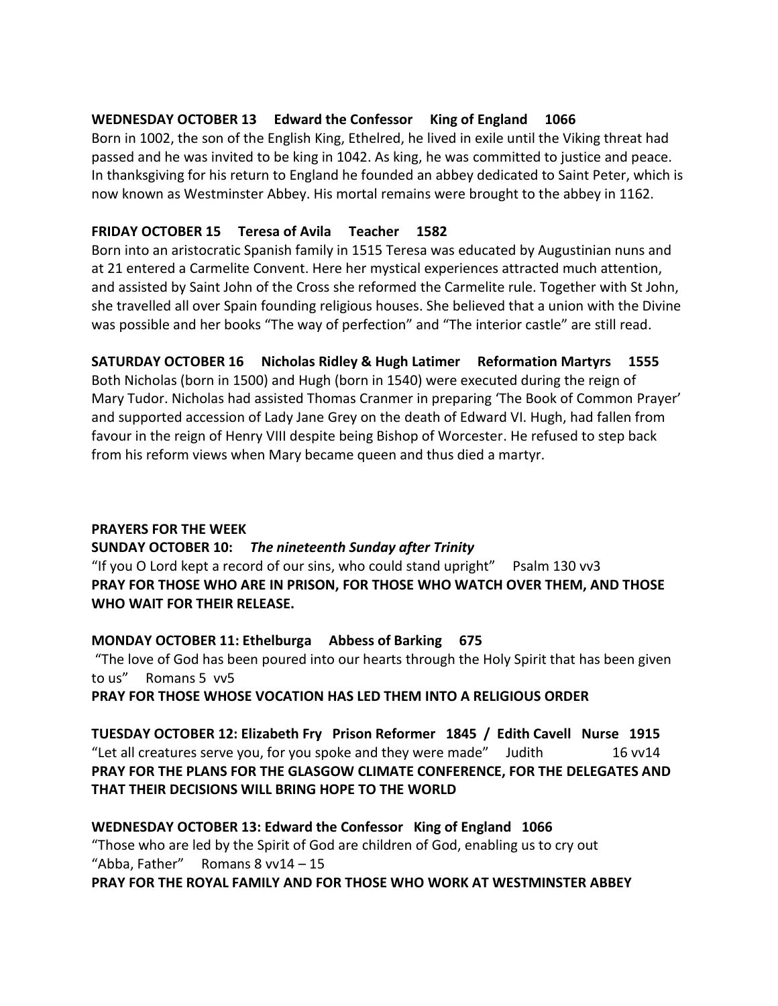### **WEDNESDAY OCTOBER 13 Edward the Confessor King of England 1066**

Born in 1002, the son of the English King, Ethelred, he lived in exile until the Viking threat had passed and he was invited to be king in 1042. As king, he was committed to justice and peace. In thanksgiving for his return to England he founded an abbey dedicated to Saint Peter, which is now known as Westminster Abbey. His mortal remains were brought to the abbey in 1162.

# **FRIDAY OCTOBER 15 Teresa of Avila Teacher 1582**

Born into an aristocratic Spanish family in 1515 Teresa was educated by Augustinian nuns and at 21 entered a Carmelite Convent. Here her mystical experiences attracted much attention, and assisted by Saint John of the Cross she reformed the Carmelite rule. Together with St John, she travelled all over Spain founding religious houses. She believed that a union with the Divine was possible and her books "The way of perfection" and "The interior castle" are still read.

### **SATURDAY OCTOBER 16 Nicholas Ridley & Hugh Latimer Reformation Martyrs 1555**

Both Nicholas (born in 1500) and Hugh (born in 1540) were executed during the reign of Mary Tudor. Nicholas had assisted Thomas Cranmer in preparing 'The Book of Common Prayer' and supported accession of Lady Jane Grey on the death of Edward VI. Hugh, had fallen from favour in the reign of Henry VIII despite being Bishop of Worcester. He refused to step back from his reform views when Mary became queen and thus died a martyr.

### **PRAYERS FOR THE WEEK**

### **SUNDAY OCTOBER 10:** *The nineteenth Sunday after Trinity*

"If you O Lord kept a record of our sins, who could stand upright" Psalm 130 vv3 **PRAY FOR THOSE WHO ARE IN PRISON, FOR THOSE WHO WATCH OVER THEM, AND THOSE WHO WAIT FOR THEIR RELEASE.** 

### **MONDAY OCTOBER 11: Ethelburga Abbess of Barking 675**

"The love of God has been poured into our hearts through the Holy Spirit that has been given to us" Romans 5 vv5

**PRAY FOR THOSE WHOSE VOCATION HAS LED THEM INTO A RELIGIOUS ORDER**

**TUESDAY OCTOBER 12: Elizabeth Fry Prison Reformer 1845 / Edith Cavell Nurse 1915** "Let all creatures serve you, for you spoke and they were made" Judith  $16 \text{ v}$ 14 **PRAY FOR THE PLANS FOR THE GLASGOW CLIMATE CONFERENCE, FOR THE DELEGATES AND THAT THEIR DECISIONS WILL BRING HOPE TO THE WORLD**

### **WEDNESDAY OCTOBER 13: Edward the Confessor King of England 1066**

"Those who are led by the Spirit of God are children of God, enabling us to cry out "Abba, Father" Romans 8 vv14 – 15

**PRAY FOR THE ROYAL FAMILY AND FOR THOSE WHO WORK AT WESTMINSTER ABBEY**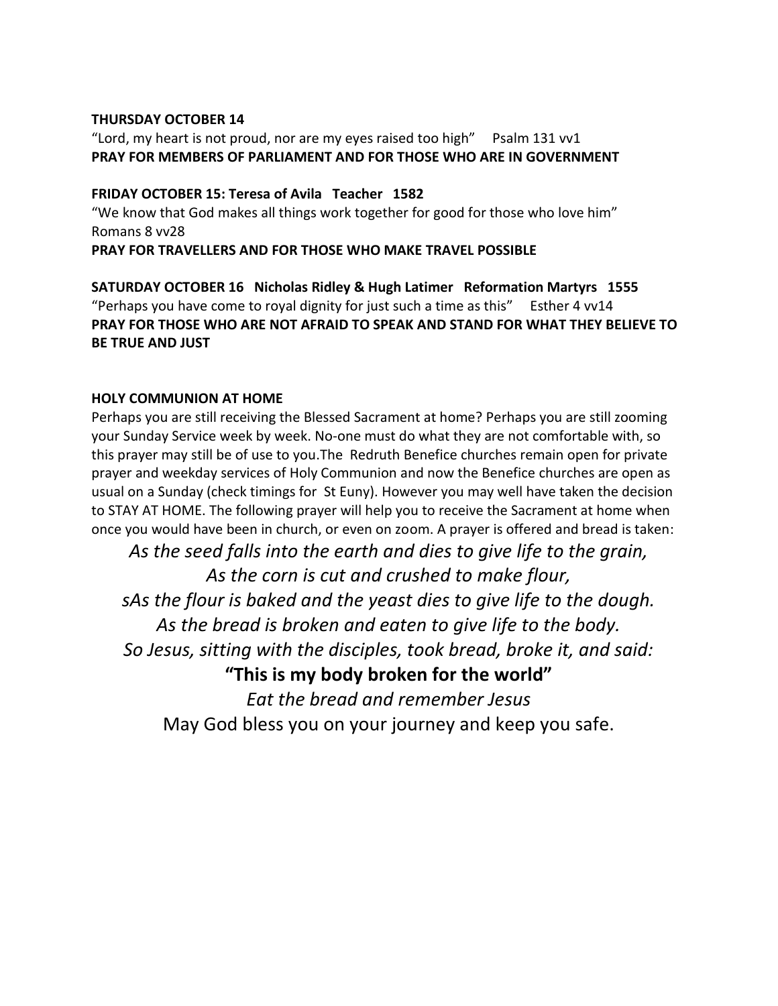#### **THURSDAY OCTOBER 14**

"Lord, my heart is not proud, nor are my eyes raised too high" Psalm  $131$  vv1 **PRAY FOR MEMBERS OF PARLIAMENT AND FOR THOSE WHO ARE IN GOVERNMENT**

### **FRIDAY OCTOBER 15: Teresa of Avila Teacher 1582**

"We know that God makes all things work together for good for those who love him" Romans 8 vv28

**PRAY FOR TRAVELLERS AND FOR THOSE WHO MAKE TRAVEL POSSIBLE** 

**SATURDAY OCTOBER 16 Nicholas Ridley & Hugh Latimer Reformation Martyrs 1555** "Perhaps you have come to royal dignity for just such a time as this" Esther 4  $vv14$ **PRAY FOR THOSE WHO ARE NOT AFRAID TO SPEAK AND STAND FOR WHAT THEY BELIEVE TO BE TRUE AND JUST**

### **HOLY COMMUNION AT HOME**

Perhaps you are still receiving the Blessed Sacrament at home? Perhaps you are still zooming your Sunday Service week by week. No-one must do what they are not comfortable with, so this prayer may still be of use to you.The Redruth Benefice churches remain open for private prayer and weekday services of Holy Communion and now the Benefice churches are open as usual on a Sunday (check timings for St Euny). However you may well have taken the decision to STAY AT HOME. The following prayer will help you to receive the Sacrament at home when once you would have been in church, or even on zoom. A prayer is offered and bread is taken:

*As the seed falls into the earth and dies to give life to the grain, As the corn is cut and crushed to make flour, sAs the flour is baked and the yeast dies to give life to the dough. As the bread is broken and eaten to give life to the body. So Jesus, sitting with the disciples, took bread, broke it, and said:* **"This is my body broken for the world"** *Eat the bread and remember Jesus* May God bless you on your journey and keep you safe.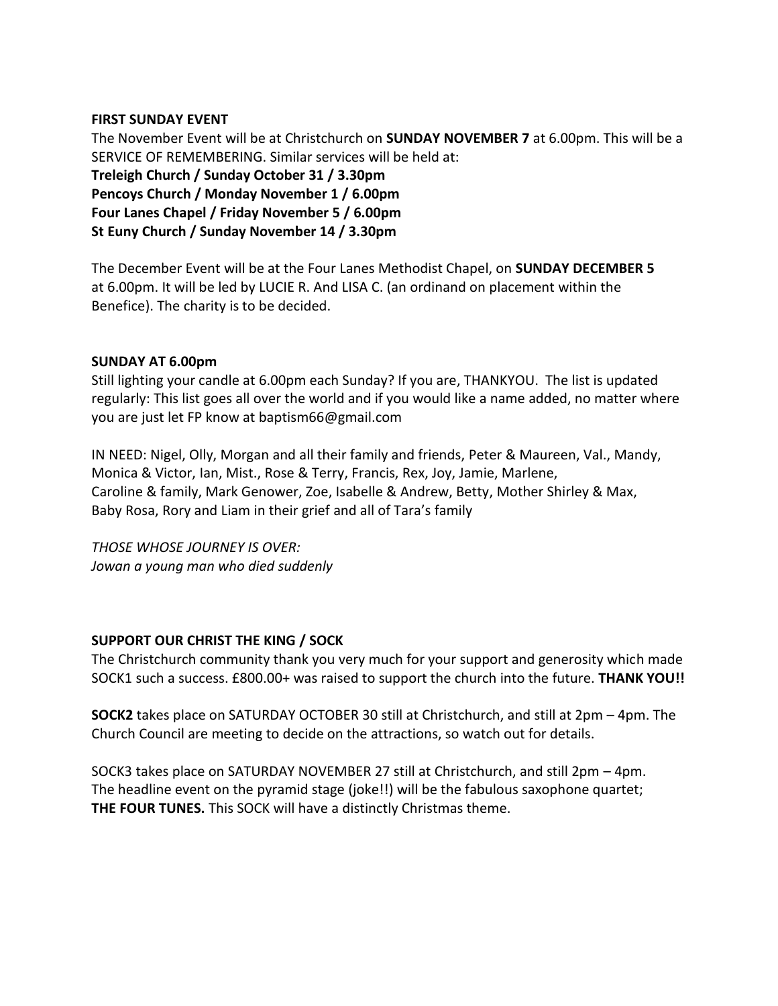#### **FIRST SUNDAY EVENT**

The November Event will be at Christchurch on **SUNDAY NOVEMBER 7** at 6.00pm. This will be a SERVICE OF REMEMBERING. Similar services will be held at: **Treleigh Church / Sunday October 31 / 3.30pm Pencoys Church / Monday November 1 / 6.00pm Four Lanes Chapel / Friday November 5 / 6.00pm St Euny Church / Sunday November 14 / 3.30pm**

The December Event will be at the Four Lanes Methodist Chapel, on **SUNDAY DECEMBER 5**  at 6.00pm. It will be led by LUCIE R. And LISA C. (an ordinand on placement within the Benefice). The charity is to be decided.

### **SUNDAY AT 6.00pm**

Still lighting your candle at 6.00pm each Sunday? If you are, THANKYOU. The list is updated regularly: This list goes all over the world and if you would like a name added, no matter where you are just let FP know at baptism66@gmail.com

IN NEED: Nigel, Olly, Morgan and all their family and friends, Peter & Maureen, Val., Mandy, Monica & Victor, Ian, Mist., Rose & Terry, Francis, Rex, Joy, Jamie, Marlene, Caroline & family, Mark Genower, Zoe, Isabelle & Andrew, Betty, Mother Shirley & Max, Baby Rosa, Rory and Liam in their grief and all of Tara's family

*THOSE WHOSE JOURNEY IS OVER: Jowan a young man who died suddenly* 

### **SUPPORT OUR CHRIST THE KING / SOCK**

The Christchurch community thank you very much for your support and generosity which made SOCK1 such a success. £800.00+ was raised to support the church into the future. **THANK YOU!!**

**SOCK2** takes place on SATURDAY OCTOBER 30 still at Christchurch, and still at 2pm – 4pm. The Church Council are meeting to decide on the attractions, so watch out for details.

SOCK3 takes place on SATURDAY NOVEMBER 27 still at Christchurch, and still 2pm – 4pm. The headline event on the pyramid stage (joke!!) will be the fabulous saxophone quartet; **THE FOUR TUNES.** This SOCK will have a distinctly Christmas theme.